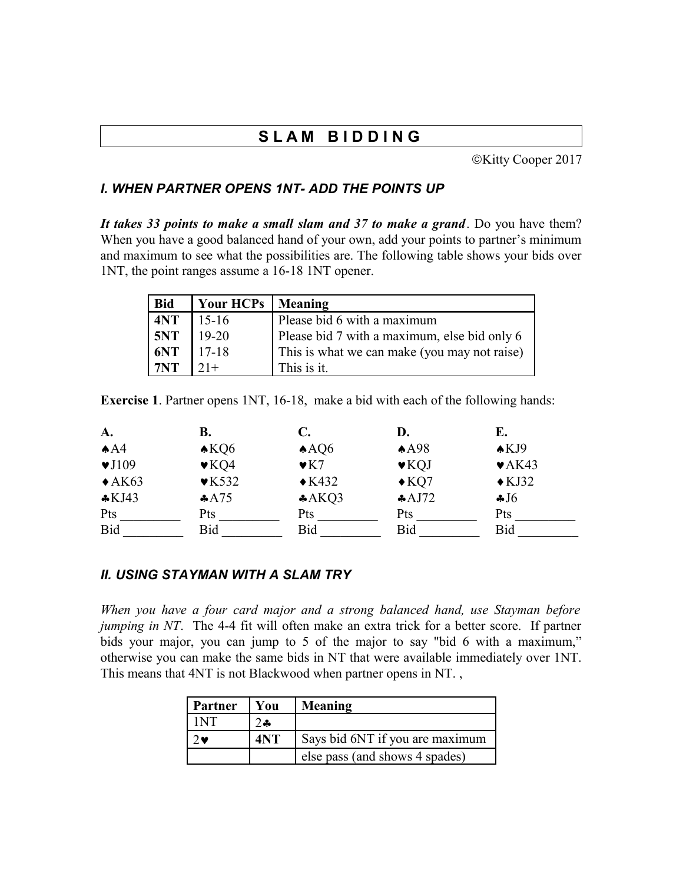# **S L A M B I D D I N G**

©Kitty Cooper 2017

# *I. WHEN PARTNER OPENS 1NT- ADD THE POINTS UP*

*It takes 33 points to make a small slam and 37 to make a grand*. Do you have them? When you have a good balanced hand of your own, add your points to partner's minimum and maximum to see what the possibilities are. The following table shows your bids over 1NT, the point ranges assume a 16-18 1NT opener.

| <b>Bid</b> | Your HCPs   Meaning |                                              |
|------------|---------------------|----------------------------------------------|
| 4NT        | $15-16$             | Please bid 6 with a maximum                  |
| 5NT<br>6NT | $19-20$             | Please bid 7 with a maximum, else bid only 6 |
|            | $17-18$             | This is what we can make (you may not raise) |
| 7NT        | $21+$               | This is it.                                  |

**Exercise 1**. Partner opens 1NT, 16-18, make a bid with each of the following hands:

| A.                        | В.                        | C.                   | D.                        | E.                         |
|---------------------------|---------------------------|----------------------|---------------------------|----------------------------|
| AA                        | $\triangle KQ6$           | AAO6                 | A498                      | AKJ9                       |
| $\blacktriangledown$ J109 | $\blacktriangledown$ KQ4  | $\blacktriangledown$ | $\blacktriangleright$ KQJ | $\blacktriangleright$ AK43 |
| $\triangle$ AK63          | $\blacktriangledown$ K532 | $\triangle$ K432     | $\triangle$ KQ7           | $\triangle$ KJ32           |
| $\cdot$ KJ43              | A475                      | A KQ3                | AJ72                      | J6                         |
| Pts                       | Pts                       | Pts                  | Pts                       | Pts                        |
| <b>Bid</b>                | Bid                       | Bid                  | Bid                       | Bid                        |

#### *II. USING STAYMAN WITH A SLAM TRY*

*When you have a four card major and a strong balanced hand, use Stayman before jumping in NT*. The 4-4 fit will often make an extra trick for a better score. If partner bids your major, you can jump to 5 of the major to say "bid 6 with a maximum," otherwise you can make the same bids in NT that were available immediately over 1NT. This means that 4NT is not Blackwood when partner opens in NT. ,

| Partner | You   | Meaning                         |
|---------|-------|---------------------------------|
| I NT    | $2 -$ |                                 |
| ی (     | 4NT   | Says bid 6NT if you are maximum |
|         |       | else pass (and shows 4 spades)  |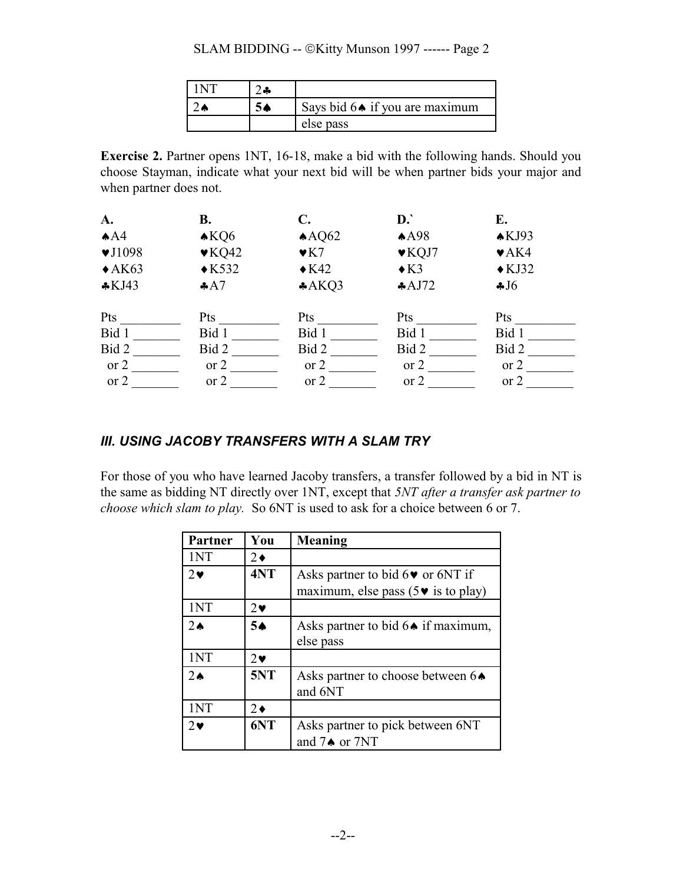#### SLAM BIDDING -- ©Kitty Munson 1997 ------ Page 2

|  | Says bid $6 \triangleleft$ if you are maximum |
|--|-----------------------------------------------|
|  | else pass                                     |

**Exercise 2.** Partner opens 1NT, 16-18, make a bid with the following hands. Should you choose Stayman, indicate what your next bid will be when partner bids your major and when partner does not.

| A.                         | В.                        | C.                  | D.                        | E.                        |  |
|----------------------------|---------------------------|---------------------|---------------------------|---------------------------|--|
| AA4                        | $\triangle KQ6$           | $A\rightarrow AQ62$ | A498                      | AKJ93                     |  |
| $\blacktriangledown$ J1098 | $\blacktriangledown$ KQ42 | $\mathbf{v}$ K7     | $\blacktriangledown$ KQJ7 | $\blacktriangleright$ AK4 |  |
| $\triangle$ AK63           | $\triangle$ K532          | $\triangle$ K42     | $\triangle$ K3            | $\triangle$ KJ32          |  |
| $\&$ KJ43                  | AA7                       | $*AKQ3$             | AJ72                      | J6                        |  |
| Pts                        | Pts                       | Pts                 | Pts                       | <b>Pts</b>                |  |
| Bid 1                      | Bid 1                     | Bid 1               | Bid 1                     | Bid 1                     |  |
| Bid 2                      | Bid 2                     | Bid 2               | Bid 2                     | Bid 2                     |  |
| or $2$                     | or $2$                    | or $2$              | or $2$                    | or $2$                    |  |
| or $2$                     | $\sigma$ 2                | or $2$              | $\sigma$ 2                | or $2$                    |  |

# *III. USING JACOBY TRANSFERS WITH A SLAM TRY*

For those of you who have learned Jacoby transfers, a transfer followed by a bid in NT is the same as bidding NT directly over 1NT, except that *5NT after a transfer ask partner to choose which slam to play.* So 6NT is used to ask for a choice between 6 or 7.

| <b>Partner</b> | You         | Meaning                                                 |
|----------------|-------------|---------------------------------------------------------|
| 1NT            | $2 \bullet$ |                                                         |
| $2\bullet$     | 4NT         | Asks partner to bid $6\blacktriangleright$ or 6NT if    |
|                |             | maximum, else pass ( $5\blacktriangleright$ is to play) |
| 1NT            | $2\bullet$  |                                                         |
| $2\spadesuit$  | 5∌          | Asks partner to bid $6\bullet$ if maximum,              |
|                |             | else pass                                               |
| 1NT            | $2\bullet$  |                                                         |
| $2\bullet$     | 5NT         | Asks partner to choose between $6\spadesuit$            |
|                |             | and 6NT                                                 |
| 1NT            | $2\bullet$  |                                                         |
| $2\bullet$     | 6NT         | Asks partner to pick between 6NT                        |
|                |             | and $7\spadesuit$ or $7NT$                              |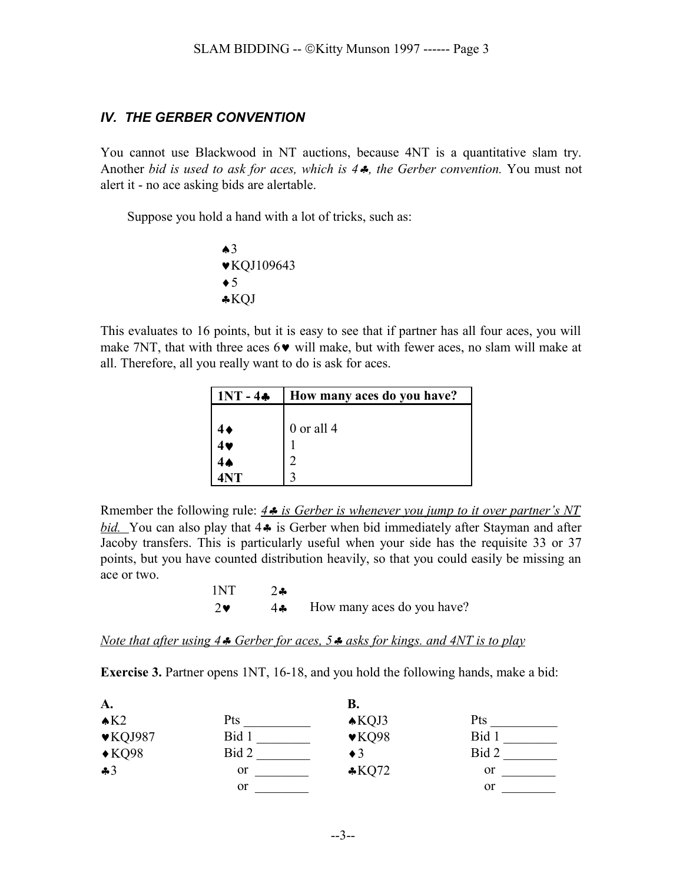### *IV. THE GERBER CONVENTION*

You cannot use Blackwood in NT auctions, because 4NT is a quantitative slam try. Another *bid is used to ask for aces, which is 4*§*, the Gerber convention.* You must not alert it - no ace asking bids are alertable.

Suppose you hold a hand with a lot of tricks, such as:

 $\bullet$ 3 ©KQJ109643  $\triangleleft 5$ §KQJ

This evaluates to 16 points, but it is easy to see that if partner has all four aces, you will make 7NT, that with three aces  $6\vee$  will make, but with fewer aces, no slam will make at all. Therefore, all you really want to do is ask for aces.

| $ 1NT - 4*$ | How many aces do you have? |
|-------------|----------------------------|
|             |                            |
|             | $0$ or all 4               |
|             |                            |
|             |                            |
| <b>INT</b>  |                            |

Rmember the following rule:  $4 \cdot \mathbf{s}$  is Gerber is whenever you jump to it over partner's NT *bid.* You can also play that 4<sup> $\bullet$ </sup> is Gerber when bid immediately after Stayman and after Jacoby transfers. This is particularly useful when your side has the requisite 33 or 37 points, but you have counted distribution heavily, so that you could easily be missing an ace or two.

> 1NT 2§  $2\bullet$  4 $\bullet$  How many aces do you have?

*Note that after using 4* §*Gerber for aces, 5*  $\bullet$  *asks for kings, and 4NT is to play* 

**Exercise 3.** Partner opens 1NT, 16-18, and you hold the following hands, make a bid:

| A.                          |               | <b>B.</b>                 |               |
|-----------------------------|---------------|---------------------------|---------------|
| $\triangle$ K2              | Pts           | $\triangle KQJ3$          | Pts           |
| $\blacktriangledown$ KQJ987 | Bid 1         | $\blacktriangledown$ KQ98 | Bid 1         |
| $\triangle$ KQ98            | Bid 2         | $\triangleleft$ 3         | Bid 2         |
| 43                          | <sub>or</sub> | $\cdot$ KQ72              | or            |
|                             | or            |                           | <sub>or</sub> |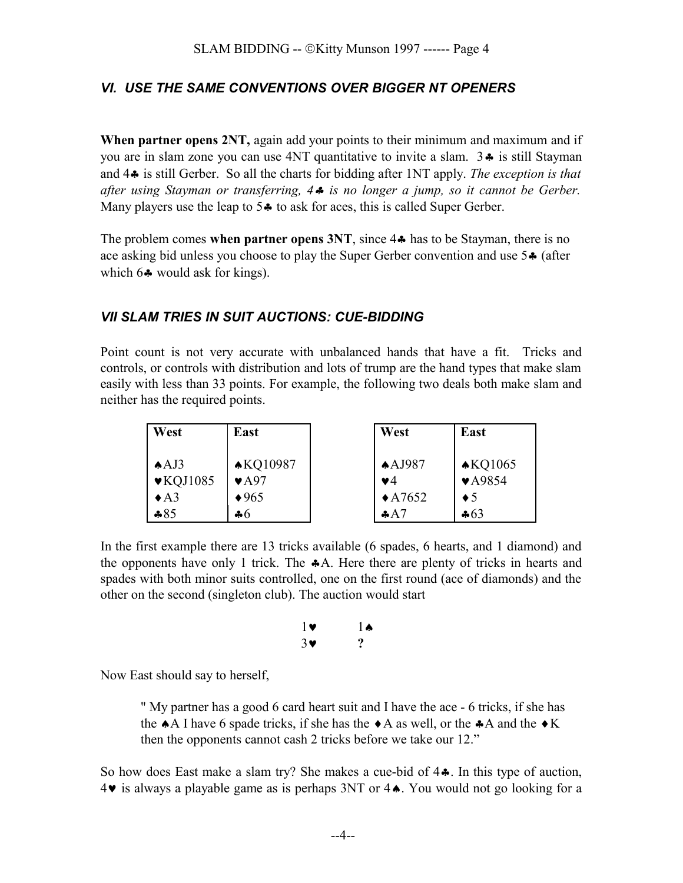## *VI. USE THE SAME CONVENTIONS OVER BIGGER NT OPENERS*

**When partner opens 2NT,** again add your points to their minimum and maximum and if you are in slam zone you can use  $4NT$  quantitative to invite a slam.  $3\clubsuit$  is still Stayman and 4§ is still Gerber. So all the charts for bidding after 1NT apply. *The exception is that after using Stayman or transferring, 4*§ *is no longer a jump, so it cannot be Gerber.* Many players use the leap to  $5\clubsuit$  to ask for aces, this is called Super Gerber.

The problem comes when partner opens 3NT, since 4 $\clubsuit$  has to be Stayman, there is no ace asking bid unless you choose to play the Super Gerber convention and use 5§ (after which  $6\clubsuit$  would ask for kings).

### *VII SLAM TRIES IN SUIT AUCTIONS: CUE-BIDDING*

Point count is not very accurate with unbalanced hands that have a fit. Tricks and controls, or controls with distribution and lots of trump are the hand types that make slam easily with less than 33 points. For example, the following two deals both make slam and neither has the required points.

| West                         | East                     | West              | East                       |
|------------------------------|--------------------------|-------------------|----------------------------|
| A/J3                         | <b>AKQ10987</b>          | $A$ AJ987         | $\triangle$ KQ1065         |
| $\blacktriangledown$ KQJ1085 | $\blacktriangledown$ A97 | $\mathbf{v}$ 4    | $\blacktriangledown$ A9854 |
| $\triangle$ A3               | $\blacklozenge 965$      | $\triangle$ A7652 | $\bullet 5$                |
| $*85$                        | $\clubsuit 6$            | A7                | $-63$                      |

In the first example there are 13 tricks available (6 spades, 6 hearts, and 1 diamond) and the opponents have only 1 trick. The  $\clubsuit A$ . Here there are plenty of tricks in hearts and spades with both minor suits controlled, one on the first round (ace of diamonds) and the other on the second (singleton club). The auction would start

$$
\begin{array}{cc} 1\blacktriangledown & 1\blacktriangle & \\ 3\blacktriangledown & ? \end{array}
$$

Now East should say to herself,

" My partner has a good 6 card heart suit and I have the ace - 6 tricks, if she has the  $\triangle$ A I have 6 spade tricks, if she has the  $\triangle$ A as well, or the  $\triangle$ A and the  $\triangle$ K then the opponents cannot cash 2 tricks before we take our 12."

So how does East make a slam try? She makes a cue-bid of  $4\cdot$ . In this type of auction,  $4\blacktriangleright$  is always a playable game as is perhaps 3NT or  $4\blacktriangle$ . You would not go looking for a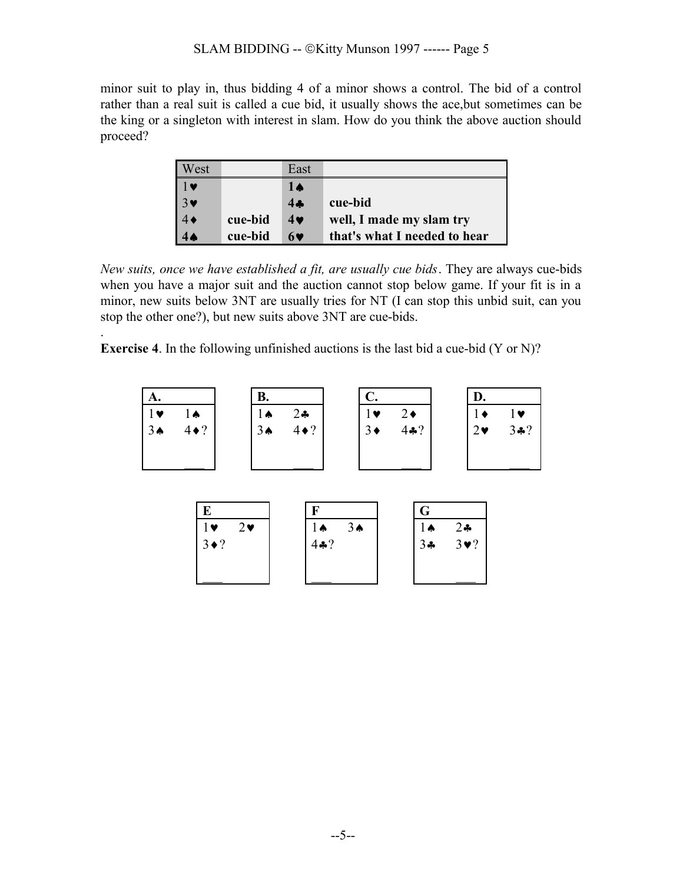minor suit to play in, thus bidding 4 of a minor shows a control. The bid of a control rather than a real suit is called a cue bid, it usually shows the ace,but sometimes can be the king or a singleton with interest in slam. How do you think the above auction should proceed?

| West                  |         | East       |                              |
|-----------------------|---------|------------|------------------------------|
| 1 v                   |         | 14         |                              |
| $3\blacktriangledown$ |         | 4.4        | cue-bid                      |
|                       | cue-bid | $4\bullet$ | well, I made my slam try     |
|                       | cue-bid | 69         | that's what I needed to hear |

*New suits, once we have established a fit, are usually cue bids*. They are always cue-bids when you have a major suit and the auction cannot stop below game. If your fit is in a minor, new suits below 3NT are usually tries for NT (I can stop this unbid suit, can you stop the other one?), but new suits above 3NT are cue-bids.

**Exercise 4**. In the following unfinished auctions is the last bid a cue-bid (Y or N)?

.